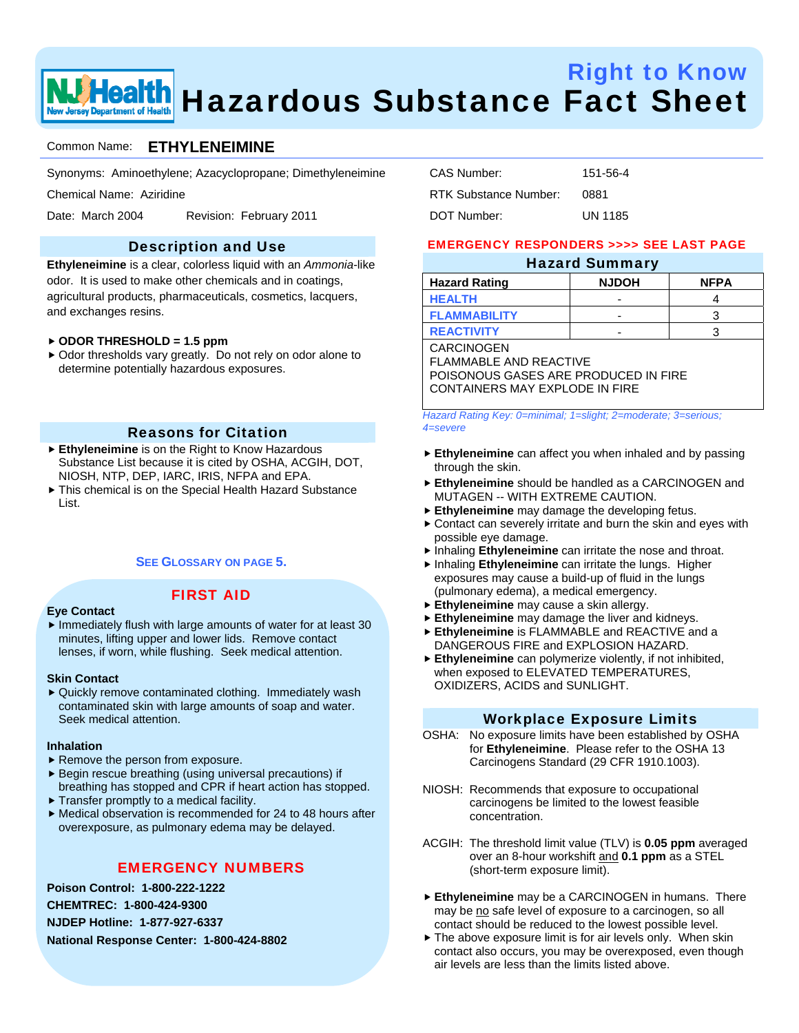

# Right to Know **Health** Hazardous Substance Fact Sheet

#### Common Name: **ETHYLENEIMINE**

Synonyms: Aminoethylene; Azacyclopropane; Dimethyleneimine

Chemical Name: Aziridine

Date: March 2004 Revision: February 2011

### Description and Use

**Ethyleneimine** is a clear, colorless liquid with an *Ammonia*-like odor. It is used to make other chemicals and in coatings, agricultural products, pharmaceuticals, cosmetics, lacquers, and exchanges resins.

#### f **ODOR THRESHOLD = 1.5 ppm**

▶ Odor thresholds vary greatly. Do not rely on odor alone to determine potentially hazardous exposures.

#### Reasons for Citation

- **Ethyleneimine** is on the Right to Know Hazardous Substance List because it is cited by OSHA, ACGIH, DOT, NIOSH, NTP, DEP, IARC, IRIS, NFPA and EPA.
- $\triangleright$  This chemical is on the Special Health Hazard Substance List.

#### **SEE GLOSSARY ON PAGE 5.**

### FIRST AID

#### **Eye Contact**

 $\blacktriangleright$  Immediately flush with large amounts of water for at least 30 minutes, lifting upper and lower lids. Remove contact lenses, if worn, while flushing. Seek medical attention.

#### **Skin Contact**

 $\blacktriangleright$  Quickly remove contaminated clothing. Immediately wash contaminated skin with large amounts of soap and water. Seek medical attention.

#### **Inhalation**

- $\blacktriangleright$  Remove the person from exposure.
- $\blacktriangleright$  Begin rescue breathing (using universal precautions) if breathing has stopped and CPR if heart action has stopped.
- $\blacktriangleright$  Transfer promptly to a medical facility.
- $\blacktriangleright$  Medical observation is recommended for 24 to 48 hours after overexposure, as pulmonary edema may be delayed.

## EMERGENCY NUMBERS

**Poison Control: 1-800-222-1222 CHEMTREC: 1-800-424-9300 NJDEP Hotline: 1-877-927-6337 National Response Center: 1-800-424-8802** 

| CAS Number:           | 151-56-4 |
|-----------------------|----------|
| RTK Substance Number: | 0881     |
| DOT Number:           | UN 1185  |

#### EMERGENCY RESPONDERS >>>> SEE LAST PAGE

#### Hazard Summary

| <b>Hazard Rating</b> | <b>NJDOH</b> | <b>NFPA</b> |
|----------------------|--------------|-------------|
| <b>HEALTH</b>        | -            |             |
| <b>FLAMMABILITY</b>  | -            |             |
| <b>REACTIVITY</b>    | -            |             |

CARCINOGEN FLAMMABLE AND REACTIVE POISONOUS GASES ARE PRODUCED IN FIRE CONTAINERS MAY EXPLODE IN FIRE

*Hazard Rating Key: 0=minimal; 1=slight; 2=moderate; 3=serious; 4=severe*

- **Ethyleneimine** can affect you when inhaled and by passing through the skin.
- **Ethyleneimine** should be handled as a CARCINOGEN and MUTAGEN -- WITH EXTREME CAUTION.
- Ethyleneimine may damage the developing fetus.
- $\triangleright$  Contact can severely irritate and burn the skin and eyes with possible eye damage.
- **F** Inhaling **Ethyleneimine** can irritate the nose and throat.
- **F** Inhaling **Ethyleneimine** can irritate the lungs. Higher exposures may cause a build-up of fluid in the lungs (pulmonary edema), a medical emergency.
- **Ethyleneimine** may cause a skin allergy.
- **Ethyleneimine** may damage the liver and kidneys.
- f **Ethyleneimine** is FLAMMABLE and REACTIVE and a DANGEROUS FIRE and EXPLOSION HAZARD.
- **Ethyleneimine** can polymerize violently, if not inhibited, when exposed to ELEVATED TEMPERATURES, OXIDIZERS, ACIDS and SUNLIGHT.

#### Workplace Exposure Limits

- OSHA: No exposure limits have been established by OSHA for **Ethyleneimine**. Please refer to the OSHA 13 Carcinogens Standard (29 CFR 1910.1003).
- NIOSH: Recommends that exposure to occupational carcinogens be limited to the lowest feasible concentration.
- ACGIH: The threshold limit value (TLV) is **0.05 ppm** averaged over an 8-hour workshift and **0.1 ppm** as a STEL (short-term exposure limit).
- **Ethyleneimine** may be a CARCINOGEN in humans. There may be no safe level of exposure to a carcinogen, so all contact should be reduced to the lowest possible level.
- $\blacktriangleright$  The above exposure limit is for air levels only. When skin contact also occurs, you may be overexposed, even though air levels are less than the limits listed above.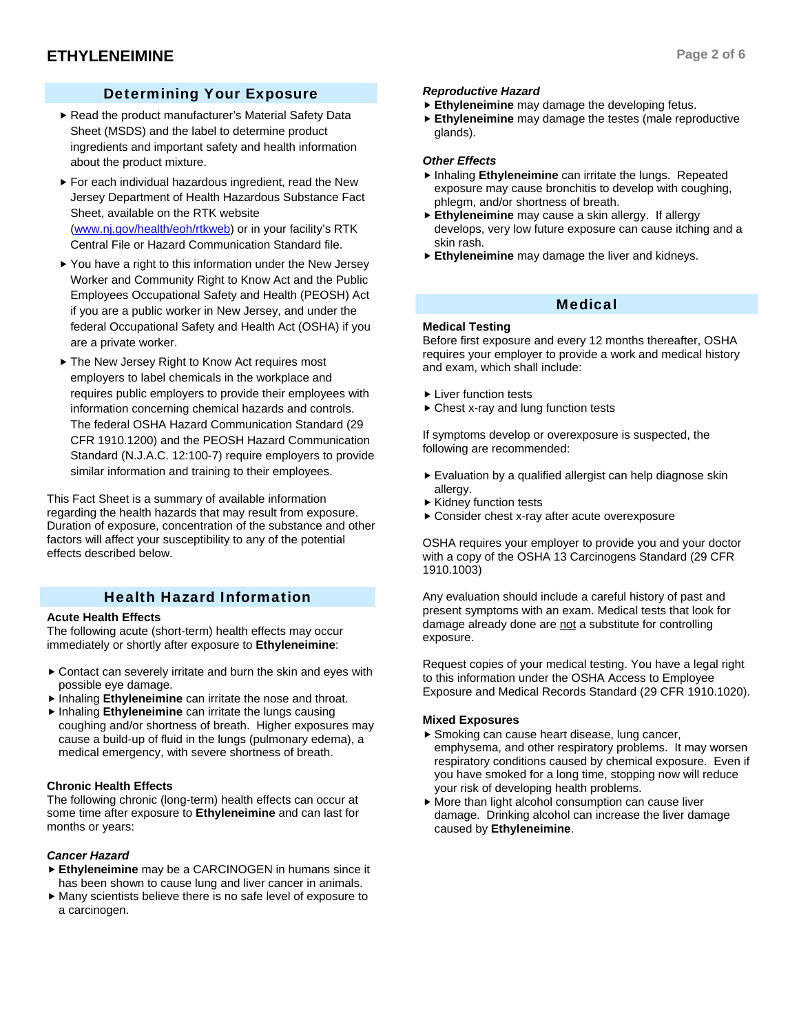## Determining Your Exposure

- Read the product manufacturer's Material Safety Data Sheet (MSDS) and the label to determine product ingredients and important safety and health information about the product mixture.
- $\blacktriangleright$  For each individual hazardous ingredient, read the New Jersey Department of Health Hazardous Substance Fact Sheet, available on the RTK website (www.nj.gov/health/eoh/rtkweb) or in your facility's RTK Central File or Hazard Communication Standard file.
- $\blacktriangleright$  You have a right to this information under the New Jersey Worker and Community Right to Know Act and the Public Employees Occupational Safety and Health (PEOSH) Act if you are a public worker in New Jersey, and under the federal Occupational Safety and Health Act (OSHA) if you are a private worker.
- ▶ The New Jersey Right to Know Act requires most employers to label chemicals in the workplace and requires public employers to provide their employees with information concerning chemical hazards and controls. The federal OSHA Hazard Communication Standard (29 CFR 1910.1200) and the PEOSH Hazard Communication Standard (N.J.A.C. 12:100-7) require employers to provide similar information and training to their employees.

This Fact Sheet is a summary of available information regarding the health hazards that may result from exposure. Duration of exposure, concentration of the substance and other factors will affect your susceptibility to any of the potential effects described below.

## Health Hazard Information

#### **Acute Health Effects**

The following acute (short-term) health effects may occur immediately or shortly after exposure to **Ethyleneimine**:

- $\triangleright$  Contact can severely irritate and burn the skin and eyes with possible eye damage.
- **F** Inhaling **Ethyleneimine** can irritate the nose and throat.
- **F** Inhaling **Ethyleneimine** can irritate the lungs causing coughing and/or shortness of breath. Higher exposures may cause a build-up of fluid in the lungs (pulmonary edema), a medical emergency, with severe shortness of breath.

#### **Chronic Health Effects**

The following chronic (long-term) health effects can occur at some time after exposure to **Ethyleneimine** and can last for months or years:

#### *Cancer Hazard*

- **Ethyleneimine** may be a CARCINOGEN in humans since it has been shown to cause lung and liver cancer in animals.
- $\blacktriangleright$  Many scientists believe there is no safe level of exposure to a carcinogen.

## *Reproductive Hazard*

- **Ethyleneimine** may damage the developing fetus.
- **Ethyleneimine** may damage the testes (male reproductive glands).

#### *Other Effects*

- **F** Inhaling **Ethyleneimine** can irritate the lungs. Repeated exposure may cause bronchitis to develop with coughing, phlegm, and/or shortness of breath.
- Ethyleneimine may cause a skin allergy. If allergy develops, very low future exposure can cause itching and a skin rash.
- **Ethyleneimine** may damage the liver and kidneys.

### Medical

#### **Medical Testing**

Before first exposure and every 12 months thereafter, OSHA requires your employer to provide a work and medical history and exam, which shall include:

- $\blacktriangleright$  Liver function tests
- $\blacktriangleright$  Chest x-ray and lung function tests

If symptoms develop or overexposure is suspected, the following are recommended:

- $\blacktriangleright$  Evaluation by a qualified allergist can help diagnose skin allergy.
- $\blacktriangleright$  Kidney function tests
- $\triangleright$  Consider chest x-ray after acute overexposure

OSHA requires your employer to provide you and your doctor with a copy of the OSHA 13 Carcinogens Standard (29 CFR 1910.1003)

Any evaluation should include a careful history of past and present symptoms with an exam. Medical tests that look for damage already done are not a substitute for controlling exposure.

Request copies of your medical testing. You have a legal right to this information under the OSHA Access to Employee Exposure and Medical Records Standard (29 CFR 1910.1020).

#### **Mixed Exposures**

- $\blacktriangleright$  Smoking can cause heart disease, lung cancer, emphysema, and other respiratory problems. It may worsen respiratory conditions caused by chemical exposure. Even if you have smoked for a long time, stopping now will reduce your risk of developing health problems.
- $\blacktriangleright$  More than light alcohol consumption can cause liver damage. Drinking alcohol can increase the liver damage caused by **Ethyleneimine**.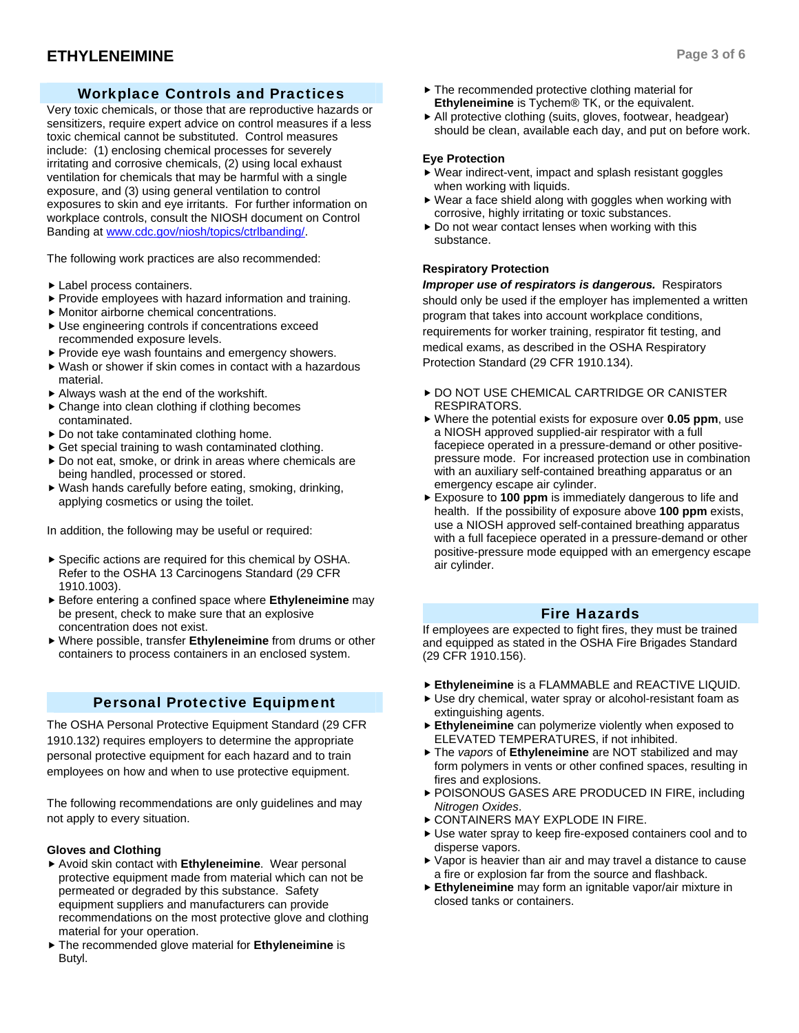## **ETHYLENEIMINE** Page 3 of 6

Very toxic chemicals, or those that are reproductive hazards or sensitizers, require expert advice on control measures if a less toxic chemical cannot be substituted. Control measures include: (1) enclosing chemical processes for severely irritating and corrosive chemicals, (2) using local exhaust ventilation for chemicals that may be harmful with a single exposure, and (3) using general ventilation to control exposures to skin and eye irritants. For further information on workplace controls, consult the NIOSH document on Control Banding at www.cdc.gov/niosh/topics/ctrlbanding/.

The following work practices are also recommended:

- $\blacktriangleright$  Label process containers.
- $\blacktriangleright$  Provide employees with hazard information and training.
- $\blacktriangleright$  Monitor airborne chemical concentrations.
- $\blacktriangleright$  Use engineering controls if concentrations exceed recommended exposure levels.
- $\blacktriangleright$  Provide eye wash fountains and emergency showers.
- $\blacktriangleright$  Wash or shower if skin comes in contact with a hazardous material.
- $\blacktriangleright$  Always wash at the end of the workshift.
- $\triangleright$  Change into clean clothing if clothing becomes contaminated.
- $\triangleright$  Do not take contaminated clothing home.
- $\triangleright$  Get special training to wash contaminated clothing.
- $\triangleright$  Do not eat, smoke, or drink in areas where chemicals are being handled, processed or stored.
- $\blacktriangleright$  Wash hands carefully before eating, smoking, drinking, applying cosmetics or using the toilet.

In addition, the following may be useful or required:

- $\blacktriangleright$  Specific actions are required for this chemical by OSHA. Refer to the OSHA 13 Carcinogens Standard (29 CFR 1910.1003).
- f Before entering a confined space where **Ethyleneimine** may be present, check to make sure that an explosive concentration does not exist.
- $\triangleright$  Where possible, transfer **Ethyleneimine** from drums or other containers to process containers in an enclosed system.

## Personal Protective Equipment

The OSHA Personal Protective Equipment Standard (29 CFR 1910.132) requires employers to determine the appropriate personal protective equipment for each hazard and to train employees on how and when to use protective equipment.

The following recommendations are only guidelines and may not apply to every situation.

#### **Gloves and Clothing**

- ▶ Avoid skin contact with **Ethyleneimine**. Wear personal protective equipment made from material which can not be permeated or degraded by this substance. Safety equipment suppliers and manufacturers can provide recommendations on the most protective glove and clothing material for your operation.
- $\triangleright$  The recommended glove material for **Ethyleneimine** is Butyl.
- $\blacktriangleright$  The recommended protective clothing material for **Ethyleneimine** is Tychem® TK, or the equivalent.
- $\blacktriangleright$  All protective clothing (suits, gloves, footwear, headgear) should be clean, available each day, and put on before work.

#### **Eye Protection**

- $\blacktriangleright$  Wear indirect-vent, impact and splash resistant goggles when working with liquids.
- $\blacktriangleright$  Wear a face shield along with goggles when working with corrosive, highly irritating or toxic substances.
- $\triangleright$  Do not wear contact lenses when working with this substance.

#### **Respiratory Protection**

*Improper use of respirators is dangerous.* Respirators should only be used if the employer has implemented a written program that takes into account workplace conditions, requirements for worker training, respirator fit testing, and medical exams, as described in the OSHA Respiratory Protection Standard (29 CFR 1910.134).

- **DO NOT USE CHEMICAL CARTRIDGE OR CANISTER** RESPIRATORS.
- lacktriangleright Where the potential exists for exposure over **0.05 ppm**, use a NIOSH approved supplied-air respirator with a full facepiece operated in a pressure-demand or other positivepressure mode. For increased protection use in combination with an auxiliary self-contained breathing apparatus or an emergency escape air cylinder.
- Exposure to **100 ppm** is immediately dangerous to life and health. If the possibility of exposure above **100 ppm** exists, use a NIOSH approved self-contained breathing apparatus with a full facepiece operated in a pressure-demand or other positive-pressure mode equipped with an emergency escape air cylinder.

#### Fire Hazards

If employees are expected to fight fires, they must be trained and equipped as stated in the OSHA Fire Brigades Standard (29 CFR 1910.156).

- **Ethyleneimine** is a FLAMMABLE and REACTIVE LIQUID.
- $\triangleright$  Use dry chemical, water spray or alcohol-resistant foam as extinguishing agents.
- **Ethyleneimine** can polymerize violently when exposed to ELEVATED TEMPERATURES, if not inhibited.
- $\triangleright$  The *vapors* of **Ethyleneimine** are NOT stabilized and may form polymers in vents or other confined spaces, resulting in fires and explosions.
- **POISONOUS GASES ARE PRODUCED IN FIRE, including** *Nitrogen Oxides*.
- **EXPLODE IN FIRE.**
- Use water spray to keep fire-exposed containers cool and to disperse vapors.
- $\blacktriangleright$  Vapor is heavier than air and may travel a distance to cause a fire or explosion far from the source and flashback.
- **Ethyleneimine** may form an ignitable vapor/air mixture in closed tanks or containers.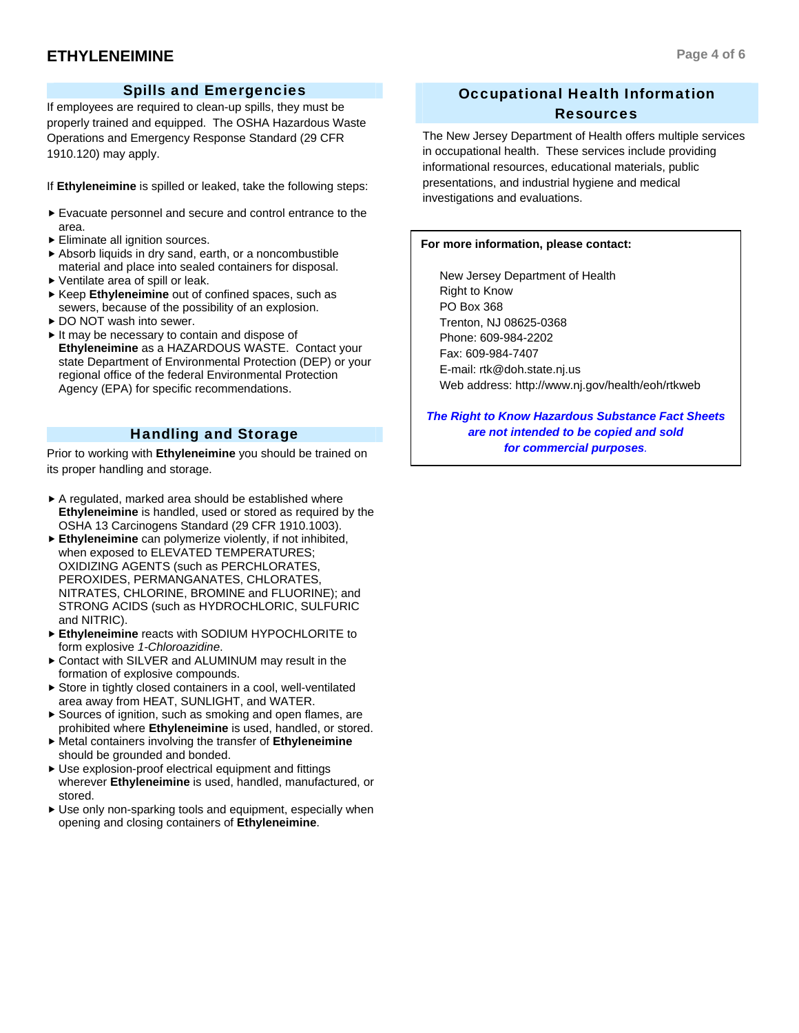### Spills and Emergencies

If employees are required to clean-up spills, they must be properly trained and equipped. The OSHA Hazardous Waste Operations and Emergency Response Standard (29 CFR 1910.120) may apply.

If **Ethyleneimine** is spilled or leaked, take the following steps:

- $\blacktriangleright$  Evacuate personnel and secure and control entrance to the area.
- $\blacktriangleright$  Eliminate all ignition sources.
- f Absorb liquids in dry sand, earth, or a noncombustible material and place into sealed containers for disposal.
- $\blacktriangleright$  Ventilate area of spill or leak.
- ▶ Keep Ethyleneimine out of confined spaces, such as sewers, because of the possibility of an explosion.
- ▶ DO NOT wash into sewer.
- $\blacktriangleright$  It may be necessary to contain and dispose of **Ethyleneimine** as a HAZARDOUS WASTE. Contact your state Department of Environmental Protection (DEP) or your regional office of the federal Environmental Protection Agency (EPA) for specific recommendations.

## Handling and Storage

Prior to working with **Ethyleneimine** you should be trained on its proper handling and storage.

- $\triangleright$  A regulated, marked area should be established where **Ethyleneimine** is handled, used or stored as required by the OSHA 13 Carcinogens Standard (29 CFR 1910.1003).
- **Ethyleneimine** can polymerize violently, if not inhibited, when exposed to ELEVATED TEMPERATURES; OXIDIZING AGENTS (such as PERCHLORATES, PEROXIDES, PERMANGANATES, CHLORATES, NITRATES, CHLORINE, BROMINE and FLUORINE); and STRONG ACIDS (such as HYDROCHLORIC, SULFURIC and NITRIC).
- **Ethyleneimine** reacts with SODIUM HYPOCHLORITE to form explosive *1-Chloroazidine*.
- ▶ Contact with SILVER and ALUMINUM may result in the formation of explosive compounds.
- $\blacktriangleright$  Store in tightly closed containers in a cool, well-ventilated area away from HEAT, SUNLIGHT, and WATER.
- $\triangleright$  Sources of ignition, such as smoking and open flames, are prohibited where **Ethyleneimine** is used, handled, or stored.
- $\blacktriangleright$  Metal containers involving the transfer of **Ethyleneimine** should be grounded and bonded.
- $\blacktriangleright$  Use explosion-proof electrical equipment and fittings wherever **Ethyleneimine** is used, handled, manufactured, or stored.
- $\blacktriangleright$  Use only non-sparking tools and equipment, especially when opening and closing containers of **Ethyleneimine**.

## Occupational Health Information Resources

The New Jersey Department of Health offers multiple services in occupational health. These services include providing informational resources, educational materials, public presentations, and industrial hygiene and medical investigations and evaluations.

#### **For more information, please contact:**

 New Jersey Department of Health Right to Know PO Box 368 Trenton, NJ 08625-0368 Phone: 609-984-2202 Fax: 609-984-7407 E-mail: rtk@doh.state.nj.us Web address: http://www.nj.gov/health/eoh/rtkweb

*The Right to Know Hazardous Substance Fact Sheets are not intended to be copied and sold for commercial purposes.*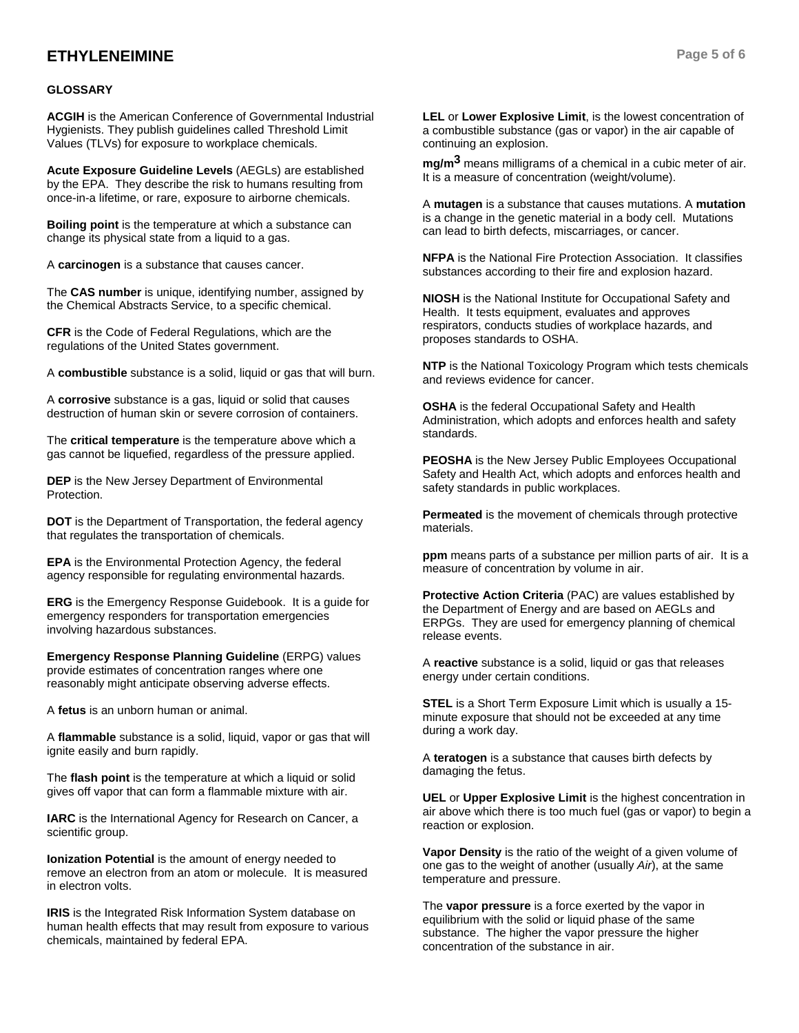## **ETHYLENEIMINE** Page 5 of 6

#### **GLOSSARY**

**ACGIH** is the American Conference of Governmental Industrial Hygienists. They publish guidelines called Threshold Limit Values (TLVs) for exposure to workplace chemicals.

**Acute Exposure Guideline Levels** (AEGLs) are established by the EPA. They describe the risk to humans resulting from once-in-a lifetime, or rare, exposure to airborne chemicals.

**Boiling point** is the temperature at which a substance can change its physical state from a liquid to a gas.

A **carcinogen** is a substance that causes cancer.

The **CAS number** is unique, identifying number, assigned by the Chemical Abstracts Service, to a specific chemical.

**CFR** is the Code of Federal Regulations, which are the regulations of the United States government.

A **combustible** substance is a solid, liquid or gas that will burn.

A **corrosive** substance is a gas, liquid or solid that causes destruction of human skin or severe corrosion of containers.

The **critical temperature** is the temperature above which a gas cannot be liquefied, regardless of the pressure applied.

**DEP** is the New Jersey Department of Environmental Protection.

**DOT** is the Department of Transportation, the federal agency that regulates the transportation of chemicals.

**EPA** is the Environmental Protection Agency, the federal agency responsible for regulating environmental hazards.

**ERG** is the Emergency Response Guidebook. It is a guide for emergency responders for transportation emergencies involving hazardous substances.

**Emergency Response Planning Guideline** (ERPG) values provide estimates of concentration ranges where one reasonably might anticipate observing adverse effects.

A **fetus** is an unborn human or animal.

A **flammable** substance is a solid, liquid, vapor or gas that will ignite easily and burn rapidly.

The **flash point** is the temperature at which a liquid or solid gives off vapor that can form a flammable mixture with air.

**IARC** is the International Agency for Research on Cancer, a scientific group.

**Ionization Potential** is the amount of energy needed to remove an electron from an atom or molecule. It is measured in electron volts.

**IRIS** is the Integrated Risk Information System database on human health effects that may result from exposure to various chemicals, maintained by federal EPA.

**LEL** or **Lower Explosive Limit**, is the lowest concentration of a combustible substance (gas or vapor) in the air capable of continuing an explosion.

**mg/m3** means milligrams of a chemical in a cubic meter of air. It is a measure of concentration (weight/volume).

A **mutagen** is a substance that causes mutations. A **mutation** is a change in the genetic material in a body cell. Mutations can lead to birth defects, miscarriages, or cancer.

**NFPA** is the National Fire Protection Association. It classifies substances according to their fire and explosion hazard.

**NIOSH** is the National Institute for Occupational Safety and Health. It tests equipment, evaluates and approves respirators, conducts studies of workplace hazards, and proposes standards to OSHA.

**NTP** is the National Toxicology Program which tests chemicals and reviews evidence for cancer.

**OSHA** is the federal Occupational Safety and Health Administration, which adopts and enforces health and safety standards.

**PEOSHA** is the New Jersey Public Employees Occupational Safety and Health Act, which adopts and enforces health and safety standards in public workplaces.

**Permeated** is the movement of chemicals through protective materials.

**ppm** means parts of a substance per million parts of air. It is a measure of concentration by volume in air.

**Protective Action Criteria** (PAC) are values established by the Department of Energy and are based on AEGLs and ERPGs. They are used for emergency planning of chemical release events.

A **reactive** substance is a solid, liquid or gas that releases energy under certain conditions.

**STEL** is a Short Term Exposure Limit which is usually a 15 minute exposure that should not be exceeded at any time during a work day.

A **teratogen** is a substance that causes birth defects by damaging the fetus.

**UEL** or **Upper Explosive Limit** is the highest concentration in air above which there is too much fuel (gas or vapor) to begin a reaction or explosion.

**Vapor Density** is the ratio of the weight of a given volume of one gas to the weight of another (usually *Air*), at the same temperature and pressure.

The **vapor pressure** is a force exerted by the vapor in equilibrium with the solid or liquid phase of the same substance. The higher the vapor pressure the higher concentration of the substance in air.